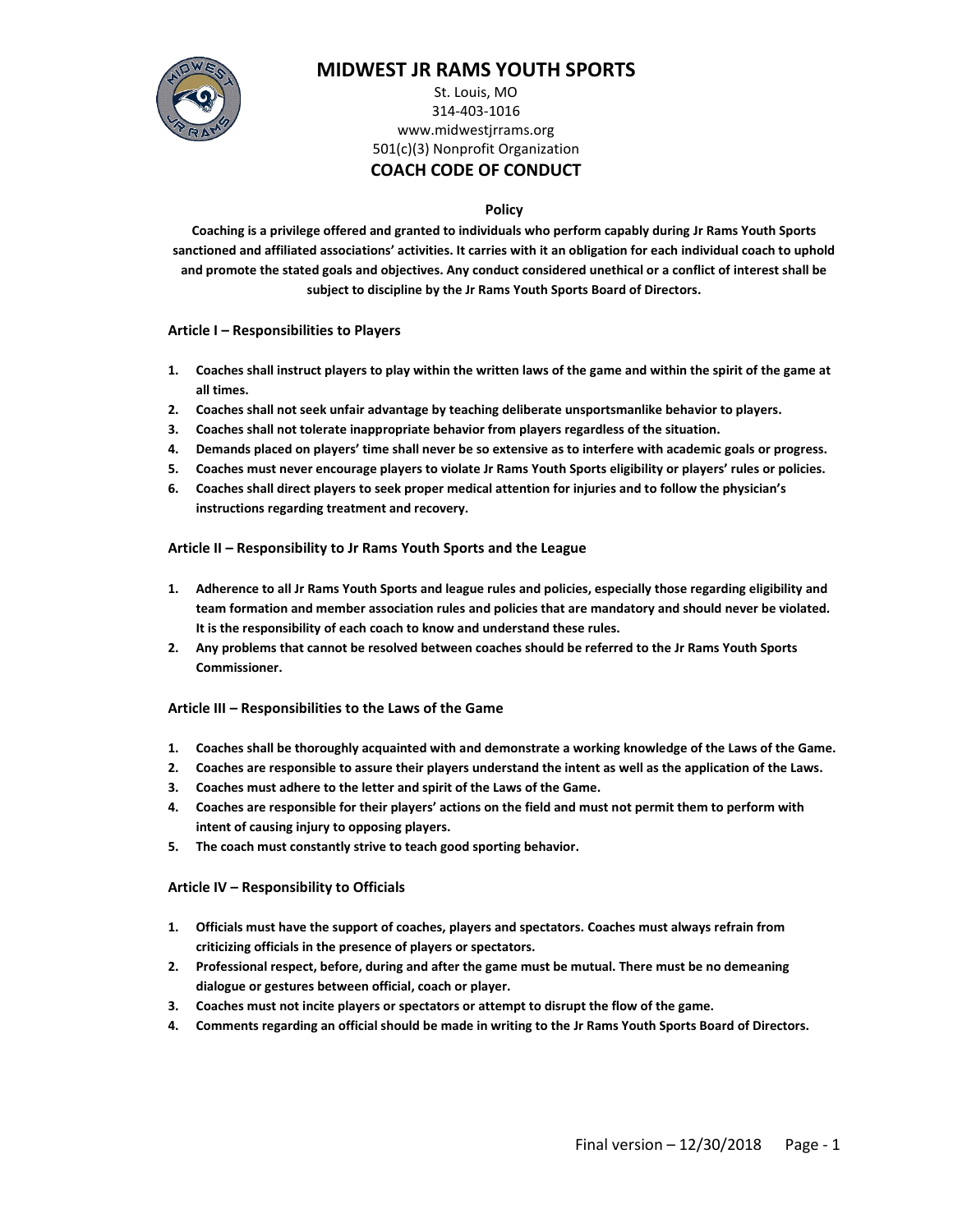

# **MIDWEST JR RAMS YOUTH SPORTS**

### St. Louis, MO 314-403-1016 www.midwestjrrams.org 501(c)(3) Nonprofit Organization **COACH CODE OF CONDUCT**

### **Policy**

**Coaching is a privilege offered and granted to individuals who perform capably during Jr Rams Youth Sports sanctioned and affiliated associations' activities. It carries with it an obligation for each individual coach to uphold and promote the stated goals and objectives. Any conduct considered unethical or a conflict of interest shall be subject to discipline by the Jr Rams Youth Sports Board of Directors.**

**Article I – Responsibilities to Players** 

- **1. Coaches shall instruct players to play within the written laws of the game and within the spirit of the game at all times.**
- **2. Coaches shall not seek unfair advantage by teaching deliberate unsportsmanlike behavior to players.**
- **3. Coaches shall not tolerate inappropriate behavior from players regardless of the situation.**
- **4. Demands placed on players' time shall never be so extensive as to interfere with academic goals or progress.**
- **5. Coaches must never encourage players to violate Jr Rams Youth Sports eligibility or players' rules or policies.**
- **6. Coaches shall direct players to seek proper medical attention for injuries and to follow the physician's instructions regarding treatment and recovery.**

### **Article II – Responsibility to Jr Rams Youth Sports and the League**

- **1. Adherence to all Jr Rams Youth Sports and league rules and policies, especially those regarding eligibility and team formation and member association rules and policies that are mandatory and should never be violated. It is the responsibility of each coach to know and understand these rules.**
- **2. Any problems that cannot be resolved between coaches should be referred to the Jr Rams Youth Sports Commissioner.**

### **Article III – Responsibilities to the Laws of the Game**

- **1. Coaches shall be thoroughly acquainted with and demonstrate a working knowledge of the Laws of the Game.**
- **2. Coaches are responsible to assure their players understand the intent as well as the application of the Laws.**
- **3. Coaches must adhere to the letter and spirit of the Laws of the Game.**
- **4. Coaches are responsible for their players' actions on the field and must not permit them to perform with intent of causing injury to opposing players.**
- **5. The coach must constantly strive to teach good sporting behavior.**

### **Article IV – Responsibility to Officials**

- **1. Officials must have the support of coaches, players and spectators. Coaches must always refrain from criticizing officials in the presence of players or spectators.**
- **2. Professional respect, before, during and after the game must be mutual. There must be no demeaning dialogue or gestures between official, coach or player.**
- **3. Coaches must not incite players or spectators or attempt to disrupt the flow of the game.**
- **4. Comments regarding an official should be made in writing to the Jr Rams Youth Sports Board of Directors.**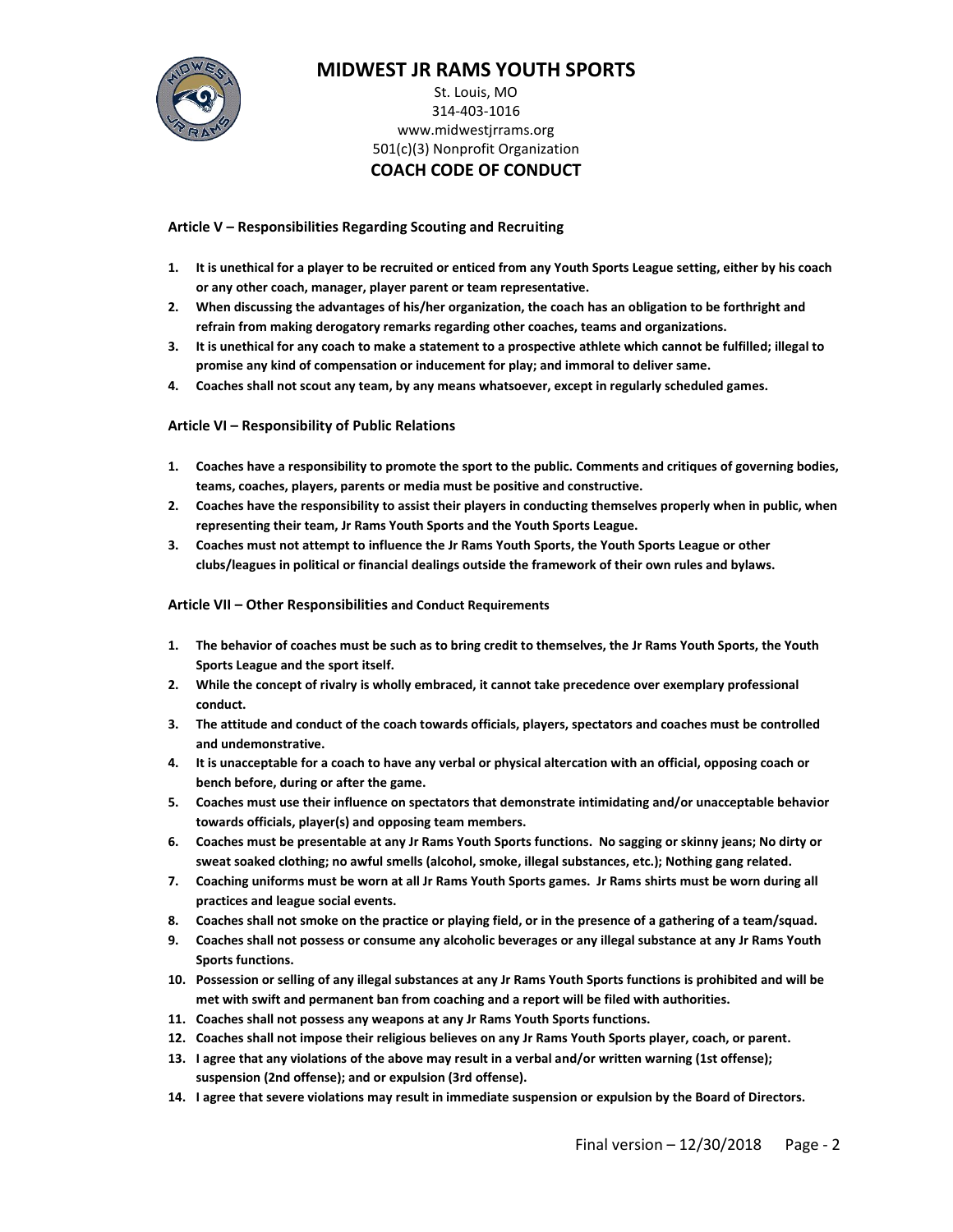

# **MIDWEST JR RAMS YOUTH SPORTS**

### St. Louis, MO 314-403-1016 www.midwestjrrams.org 501(c)(3) Nonprofit Organization **COACH CODE OF CONDUCT**

### **Article V – Responsibilities Regarding Scouting and Recruiting**

- **1. It is unethical for a player to be recruited or enticed from any Youth Sports League setting, either by his coach or any other coach, manager, player parent or team representative.**
- **2. When discussing the advantages of his/her organization, the coach has an obligation to be forthright and refrain from making derogatory remarks regarding other coaches, teams and organizations.**
- **3. It is unethical for any coach to make a statement to a prospective athlete which cannot be fulfilled; illegal to promise any kind of compensation or inducement for play; and immoral to deliver same.**
- **4. Coaches shall not scout any team, by any means whatsoever, except in regularly scheduled games.**

### **Article VI – Responsibility of Public Relations**

- **1. Coaches have a responsibility to promote the sport to the public. Comments and critiques of governing bodies, teams, coaches, players, parents or media must be positive and constructive.**
- **2. Coaches have the responsibility to assist their players in conducting themselves properly when in public, when representing their team, Jr Rams Youth Sports and the Youth Sports League.**
- **3. Coaches must not attempt to influence the Jr Rams Youth Sports, the Youth Sports League or other clubs/leagues in political or financial dealings outside the framework of their own rules and bylaws.**

### **Article VII – Other Responsibilities and Conduct Requirements**

- **1. The behavior of coaches must be such as to bring credit to themselves, the Jr Rams Youth Sports, the Youth Sports League and the sport itself.**
- **2. While the concept of rivalry is wholly embraced, it cannot take precedence over exemplary professional conduct.**
- **3. The attitude and conduct of the coach towards officials, players, spectators and coaches must be controlled and undemonstrative.**
- **4. It is unacceptable for a coach to have any verbal or physical altercation with an official, opposing coach or bench before, during or after the game.**
- **5. Coaches must use their influence on spectators that demonstrate intimidating and/or unacceptable behavior towards officials, player(s) and opposing team members.**
- **6. Coaches must be presentable at any Jr Rams Youth Sports functions. No sagging or skinny jeans; No dirty or sweat soaked clothing; no awful smells (alcohol, smoke, illegal substances, etc.); Nothing gang related.**
- **7. Coaching uniforms must be worn at all Jr Rams Youth Sports games. Jr Rams shirts must be worn during all practices and league social events.**
- **8. Coaches shall not smoke on the practice or playing field, or in the presence of a gathering of a team/squad.**
- **9. Coaches shall not possess or consume any alcoholic beverages or any illegal substance at any Jr Rams Youth Sports functions.**
- **10. Possession or selling of any illegal substances at any Jr Rams Youth Sports functions is prohibited and will be met with swift and permanent ban from coaching and a report will be filed with authorities.**
- **11. Coaches shall not possess any weapons at any Jr Rams Youth Sports functions.**
- **12. Coaches shall not impose their religious believes on any Jr Rams Youth Sports player, coach, or parent.**
- **13. I agree that any violations of the above may result in a verbal and/or written warning (1st offense); suspension (2nd offense); and or expulsion (3rd offense).**
- **14. I agree that severe violations may result in immediate suspension or expulsion by the Board of Directors.**